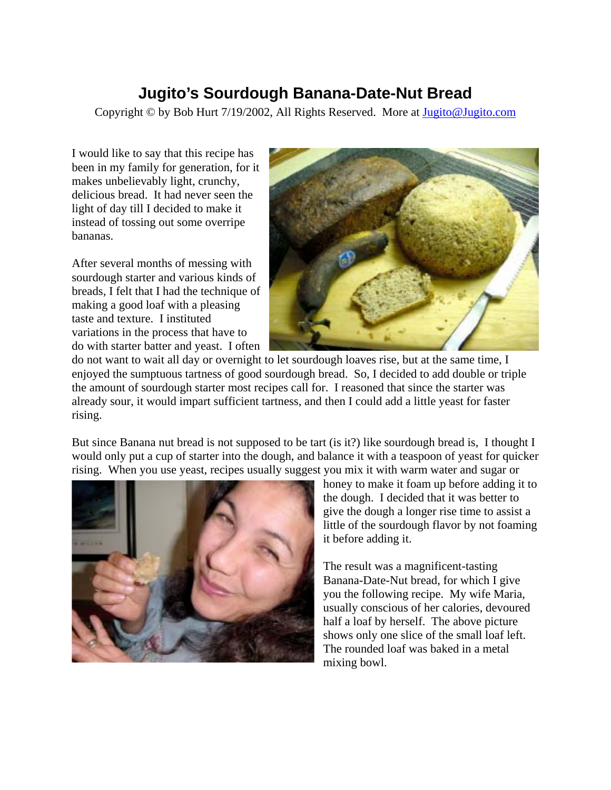Copyright © by Bob Hurt 7/19/2002, All Rights Reserved. More at Jugito@Jugito.com

I would like to say that this recipe has been in my family for generation, for it makes unbelievably light, crunchy, delicious bread. It had never seen the light of day till I decided to make it instead of tossing out some overripe bananas.

After several months of messing with sourdough starter and various kinds of breads, I felt that I had the technique of making a good loaf with a pleasing taste and texture. I instituted variations in the process that have to do with starter batter and yeast. I often



do not want to wait all day or overnight to let sourdough loaves rise, but at the same time, I enjoyed the sumptuous tartness of good sourdough bread. So, I decided to add double or triple the amount of sourdough starter most recipes call for. I reasoned that since the starter was already sour, it would impart sufficient tartness, and then I could add a little yeast for faster rising.

But since Banana nut bread is not supposed to be tart (is it?) like sourdough bread is, I thought I would only put a cup of starter into the dough, and balance it with a teaspoon of yeast for quicker rising. When you use yeast, recipes usually suggest you mix it with warm water and sugar or



honey to make it foam up before adding it to the dough. I decided that it was better to give the dough a longer rise time to assist a little of the sourdough flavor by not foaming it before adding it.

The result was a magnificent-tasting Banana-Date-Nut bread, for which I give you the following recipe. My wife Maria, usually conscious of her calories, devoured half a loaf by herself. The above picture shows only one slice of the small loaf left. The rounded loaf was baked in a metal mixing bowl.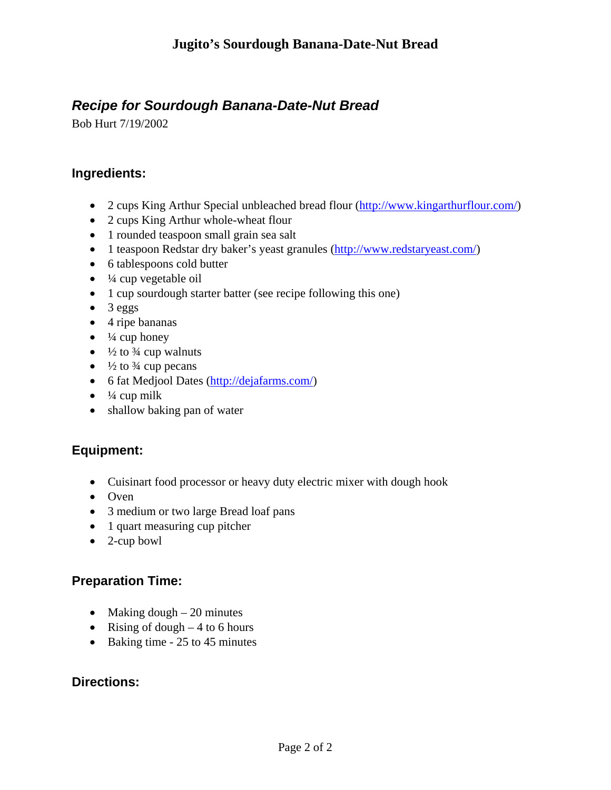# *Recipe for Sourdough Banana-Date-Nut Bread*

Bob Hurt 7/19/2002

#### **Ingredients:**

- 2 cups King Arthur Special unbleached bread flour (http://www.kingarthurflour.com/)
- 2 cups King Arthur whole-wheat flour
- 1 rounded teaspoon small grain sea salt
- 1 teaspoon Redstar dry baker's yeast granules (http://www.redstaryeast.com/)
- 6 tablespoons cold butter
- $\bullet$   $\frac{1}{4}$  cup vegetable oil
- 1 cup sourdough starter batter (see recipe following this one)
- 3 eggs
- 4 ripe bananas
- $\bullet$   $\frac{1}{4}$  cup honey
- $\frac{1}{2}$  to  $\frac{3}{4}$  cup walnuts
- $\frac{1}{2}$  to  $\frac{3}{4}$  cup pecans
- 6 fat Medjool Dates (http://dejafarms.com/)
- $\bullet$   $\frac{1}{4}$  cup milk
- shallow baking pan of water

## **Equipment:**

- Cuisinart food processor or heavy duty electric mixer with dough hook
- Oven
- 3 medium or two large Bread loaf pans
- 1 quart measuring cup pitcher
- 2-cup bowl

## **Preparation Time:**

- Making dough  $-20$  minutes
- Rising of dough  $-4$  to 6 hours
- Baking time 25 to 45 minutes

#### **Directions:**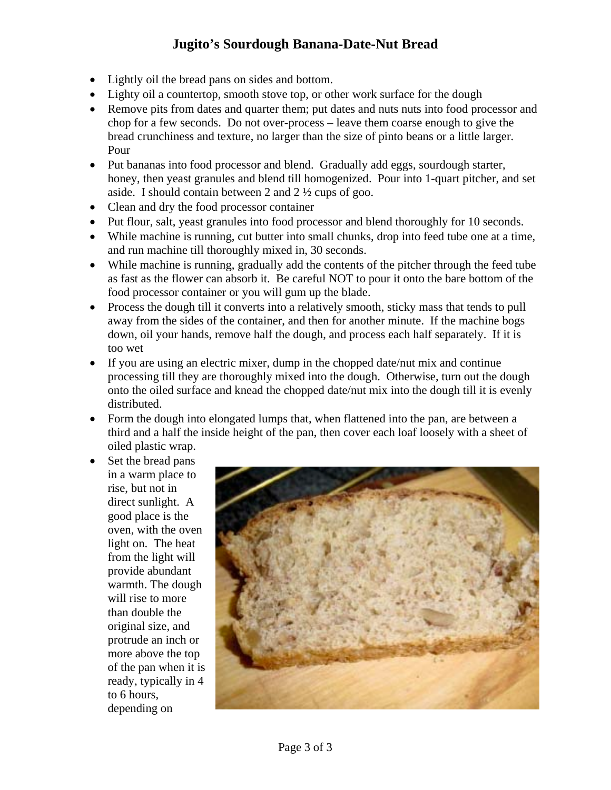- Lightly oil the bread pans on sides and bottom.
- Lighty oil a countertop, smooth stove top, or other work surface for the dough
- Remove pits from dates and quarter them; put dates and nuts nuts into food processor and chop for a few seconds. Do not over-process – leave them coarse enough to give the bread crunchiness and texture, no larger than the size of pinto beans or a little larger. Pour
- Put bananas into food processor and blend. Gradually add eggs, sourdough starter, honey, then yeast granules and blend till homogenized. Pour into 1-quart pitcher, and set aside. I should contain between 2 and 2 ½ cups of goo.
- Clean and dry the food processor container
- Put flour, salt, yeast granules into food processor and blend thoroughly for 10 seconds.
- While machine is running, cut butter into small chunks, drop into feed tube one at a time, and run machine till thoroughly mixed in, 30 seconds.
- While machine is running, gradually add the contents of the pitcher through the feed tube as fast as the flower can absorb it. Be careful NOT to pour it onto the bare bottom of the food processor container or you will gum up the blade.
- Process the dough till it converts into a relatively smooth, sticky mass that tends to pull away from the sides of the container, and then for another minute. If the machine bogs down, oil your hands, remove half the dough, and process each half separately. If it is too wet
- If you are using an electric mixer, dump in the chopped date/nut mix and continue processing till they are thoroughly mixed into the dough. Otherwise, turn out the dough onto the oiled surface and knead the chopped date/nut mix into the dough till it is evenly distributed.
- Form the dough into elongated lumps that, when flattened into the pan, are between a third and a half the inside height of the pan, then cover each loaf loosely with a sheet of oiled plastic wrap.
- Set the bread pans in a warm place to rise, but not in direct sunlight. A good place is the oven, with the oven light on. The heat from the light will provide abundant warmth. The dough will rise to more than double the original size, and protrude an inch or more above the top of the pan when it is ready, typically in 4 to 6 hours, depending on

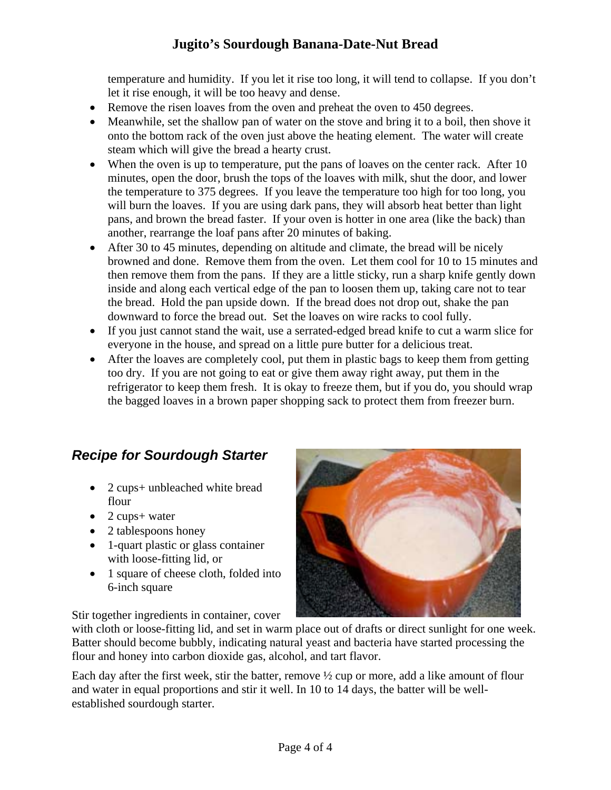temperature and humidity. If you let it rise too long, it will tend to collapse. If you don't let it rise enough, it will be too heavy and dense.

- Remove the risen loaves from the oven and preheat the oven to 450 degrees.
- Meanwhile, set the shallow pan of water on the stove and bring it to a boil, then shove it onto the bottom rack of the oven just above the heating element. The water will create steam which will give the bread a hearty crust.
- When the oven is up to temperature, put the pans of loaves on the center rack. After 10 minutes, open the door, brush the tops of the loaves with milk, shut the door, and lower the temperature to 375 degrees. If you leave the temperature too high for too long, you will burn the loaves. If you are using dark pans, they will absorb heat better than light pans, and brown the bread faster. If your oven is hotter in one area (like the back) than another, rearrange the loaf pans after 20 minutes of baking.
- After 30 to 45 minutes, depending on altitude and climate, the bread will be nicely browned and done. Remove them from the oven. Let them cool for 10 to 15 minutes and then remove them from the pans. If they are a little sticky, run a sharp knife gently down inside and along each vertical edge of the pan to loosen them up, taking care not to tear the bread. Hold the pan upside down. If the bread does not drop out, shake the pan downward to force the bread out. Set the loaves on wire racks to cool fully.
- If you just cannot stand the wait, use a serrated-edged bread knife to cut a warm slice for everyone in the house, and spread on a little pure butter for a delicious treat.
- After the loaves are completely cool, put them in plastic bags to keep them from getting too dry. If you are not going to eat or give them away right away, put them in the refrigerator to keep them fresh. It is okay to freeze them, but if you do, you should wrap the bagged loaves in a brown paper shopping sack to protect them from freezer burn.

# *Recipe for Sourdough Starter*

- 2 cups+ unbleached white bread flour
- 2 cups+ water
- 2 tablespoons honey
- 1-quart plastic or glass container with loose-fitting lid, or
- 1 square of cheese cloth, folded into 6-inch square

Stir together ingredients in container, cover



with cloth or loose-fitting lid, and set in warm place out of drafts or direct sunlight for one week. Batter should become bubbly, indicating natural yeast and bacteria have started processing the flour and honey into carbon dioxide gas, alcohol, and tart flavor.

Each day after the first week, stir the batter, remove  $\frac{1}{2}$  cup or more, add a like amount of flour and water in equal proportions and stir it well. In 10 to 14 days, the batter will be wellestablished sourdough starter.